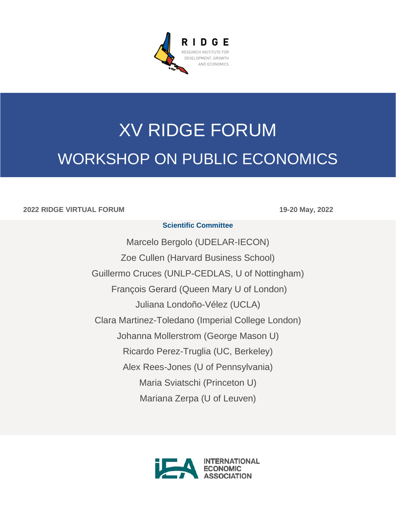

# XV RIDGE FORUM WORKSHOP ON PUBLIC ECONOMICS

#### **2022 RIDGE VIRTUAL FORUM 19-20 May, 2022**

#### **Scientific Committee**

Marcelo Bergolo (UDELAR-IECON) Zoe Cullen (Harvard Business School) Guillermo Cruces (UNLP-CEDLAS, U of Nottingham) François Gerard (Queen Mary U of London) Juliana Londoño-Vélez (UCLA) Clara Martinez-Toledano (Imperial College London) Johanna Mollerstrom (George Mason U) Ricardo Perez-Truglia (UC, Berkeley) Alex Rees-Jones (U of Pennsylvania) Maria Sviatschi (Princeton U) Mariana Zerpa (U of Leuven)

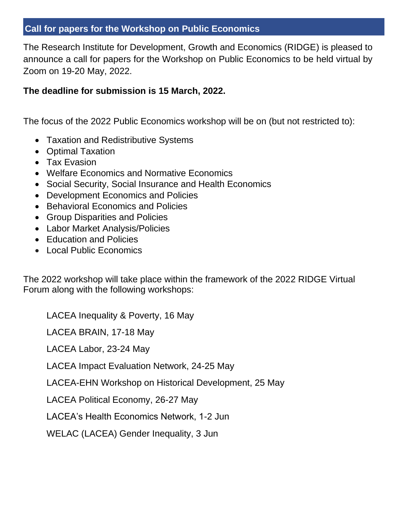# **Call for papers for the Workshop on Public Economics**

The Research Institute for Development, Growth and Economics (RIDGE) is pleased to announce a call for papers for the Workshop on Public Economics to be held virtual by Zoom on 19-20 May, 2022.

## **The deadline for submission is 15 March, 2022.**

The focus of the 2022 Public Economics workshop will be on (but not restricted to):

- Taxation and Redistributive Systems
- Optimal Taxation
- Tax Evasion
- Welfare Economics and Normative Economics
- Social Security, Social Insurance and Health Economics
- Development Economics and Policies
- Behavioral Economics and Policies
- Group Disparities and Policies
- Labor Market Analysis/Policies
- Education and Policies
- Local Public Economics

The 2022 workshop will take place within the framework of the 2022 RIDGE Virtual Forum along with the following workshops:

LACEA Inequality & Poverty, 16 May

LACEA BRAIN, 17-18 May

LACEA Labor, 23-24 May

LACEA Impact Evaluation Network, 24-25 May

LACEA-EHN Workshop on Historical Development, 25 May

LACEA Political Economy, 26-27 May

LACEA's Health Economics Network, 1-2 Jun

WELAC (LACEA) Gender Inequality, 3 Jun